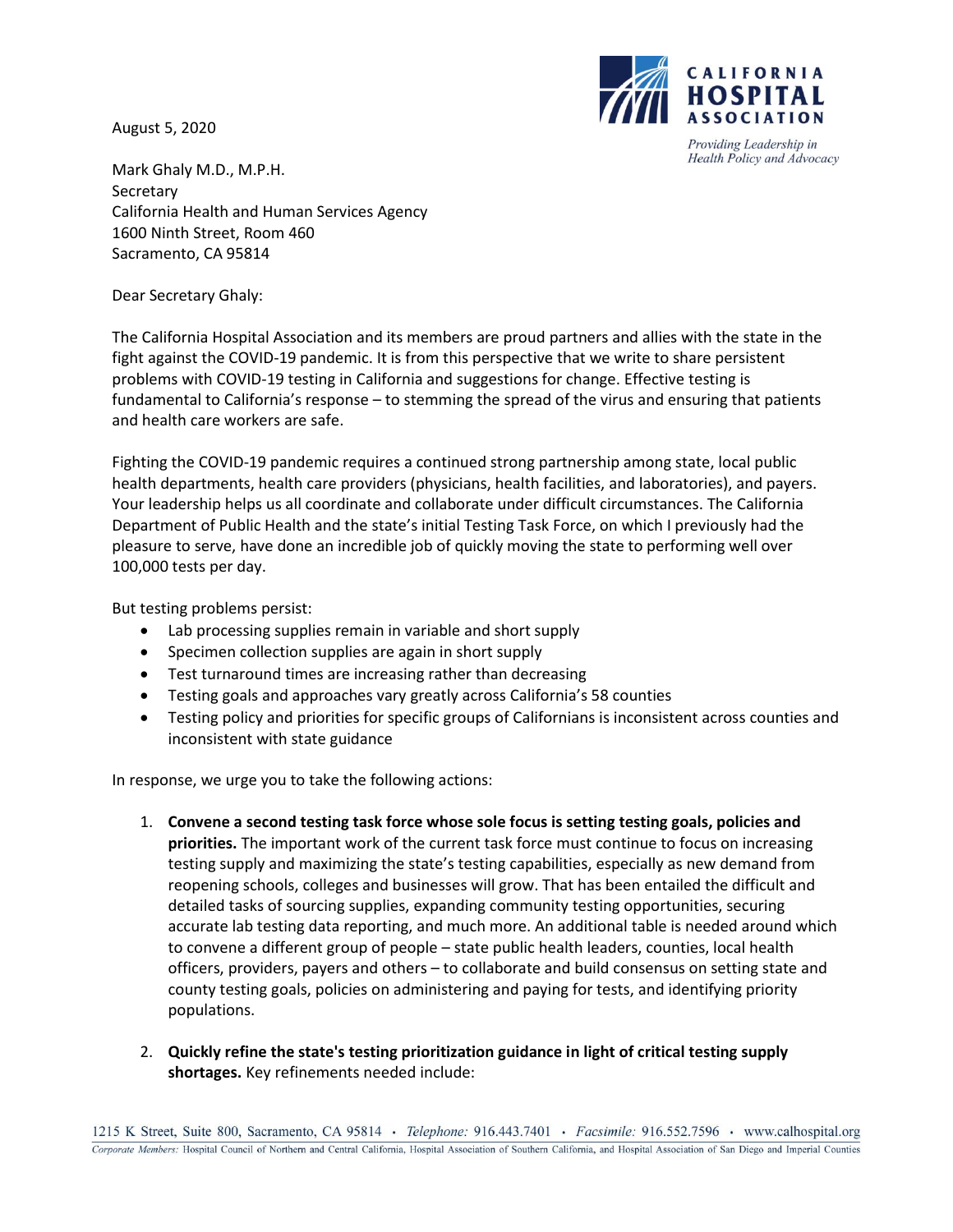August 5, 2020



Providing Leadership in Health Policy and Advocacy

Mark Ghaly M.D., M.P.H. **Secretary** California Health and Human Services Agency 1600 Ninth Street, Room 460 Sacramento, CA 95814

Dear Secretary Ghaly:

The California Hospital Association and its members are proud partners and allies with the state in the fight against the COVID-19 pandemic. It is from this perspective that we write to share persistent problems with COVID-19 testing in California and suggestions for change. Effective testing is fundamental to California's response – to stemming the spread of the virus and ensuring that patients and health care workers are safe.

Fighting the COVID-19 pandemic requires a continued strong partnership among state, local public health departments, health care providers (physicians, health facilities, and laboratories), and payers. Your leadership helps us all coordinate and collaborate under difficult circumstances. The California Department of Public Health and the state's initial Testing Task Force, on which I previously had the pleasure to serve, have done an incredible job of quickly moving the state to performing well over 100,000 tests per day.

But testing problems persist:

- Lab processing supplies remain in variable and short supply
- Specimen collection supplies are again in short supply
- Test turnaround times are increasing rather than decreasing
- Testing goals and approaches vary greatly across California's 58 counties
- Testing policy and priorities for specific groups of Californians is inconsistent across counties and inconsistent with state guidance

In response, we urge you to take the following actions:

- 1. **Convene a second testing task force whose sole focus is setting testing goals, policies and priorities.** The important work of the current task force must continue to focus on increasing testing supply and maximizing the state's testing capabilities, especially as new demand from reopening schools, colleges and businesses will grow. That has been entailed the difficult and detailed tasks of sourcing supplies, expanding community testing opportunities, securing accurate lab testing data reporting, and much more. An additional table is needed around which to convene a different group of people – state public health leaders, counties, local health officers, providers, payers and others – to collaborate and build consensus on setting state and county testing goals, policies on administering and paying for tests, and identifying priority populations.
- 2. **Quickly refine the state's testing prioritization guidance in light of critical testing supply shortages.** Key refinements needed include: